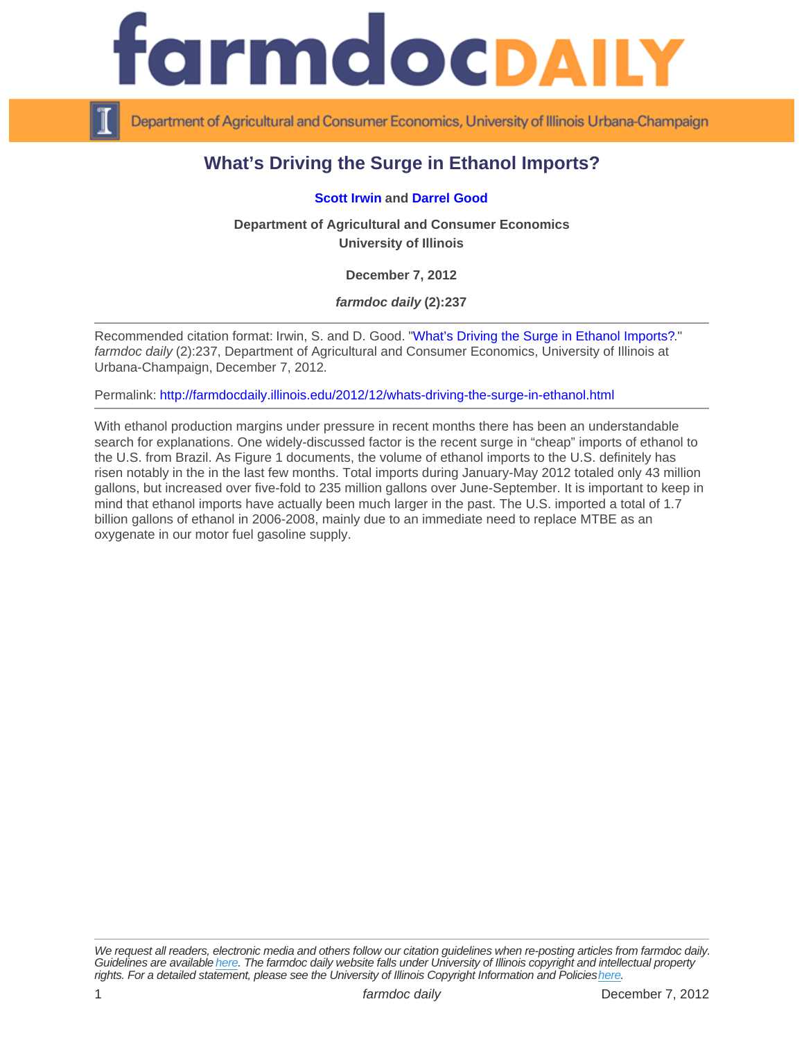## What's Driving the Surge in Ethanol Imports?

## [Scott Irwin](http://farmdoc.illinois.edu/irwin) and [Darrel Good](http://farmdoc.illinois.edu/good)

Department of Agricultural and Consumer Economics University of Illinois

December 7, 2012

farmdoc daily (2):237

Recommended citation format: Irwin, S. and D. Good. "[What's Driving the Surge in Ethanol Imports?](http://farmdocdaily.illinois.edu/2012/12/whats-driving-the-surge-in-ethanol.html)." farmdoc daily (2):237, Department of Agricultural and Consumer Economics, University of Illinois at Urbana-Champaign, December 7, 2012.

Permalink:<http://farmdocdaily.illinois.edu/2012/12/whats-driving-the-surge-in-ethanol.html>

With ethanol production margins under pressure in recent months there has been an understandable search for explanations. One widely-discussed factor is the recent surge in "cheap" imports of ethanol to the U.S. from Brazil. As Figure 1 documents, the volume of ethanol imports to the U.S. definitely has risen notably in the in the last few months. Total imports during January-May 2012 totaled only 43 million gallons, but increased over five-fold to 235 million gallons over June-September. It is important to keep in mind that ethanol imports have actually been much larger in the past. The U.S. imported a total of 1.7 billion gallons of ethanol in 2006-2008, mainly due to an immediate need to replace MTBE as an oxygenate in our motor fuel gasoline supply.

We request all readers, electronic media and others follow our citation guidelines when re-posting articles from farmdoc daily. Guidelines are available [here](http://farmdocdaily.illinois.edu/citationguide.html). The farmdoc daily website falls under University of Illinois copyright and intellectual property rights. For a detailed statement, please see the University of Illinois Copyright Information and Policies [here.](https://techservices.illinois.edu/office-cio)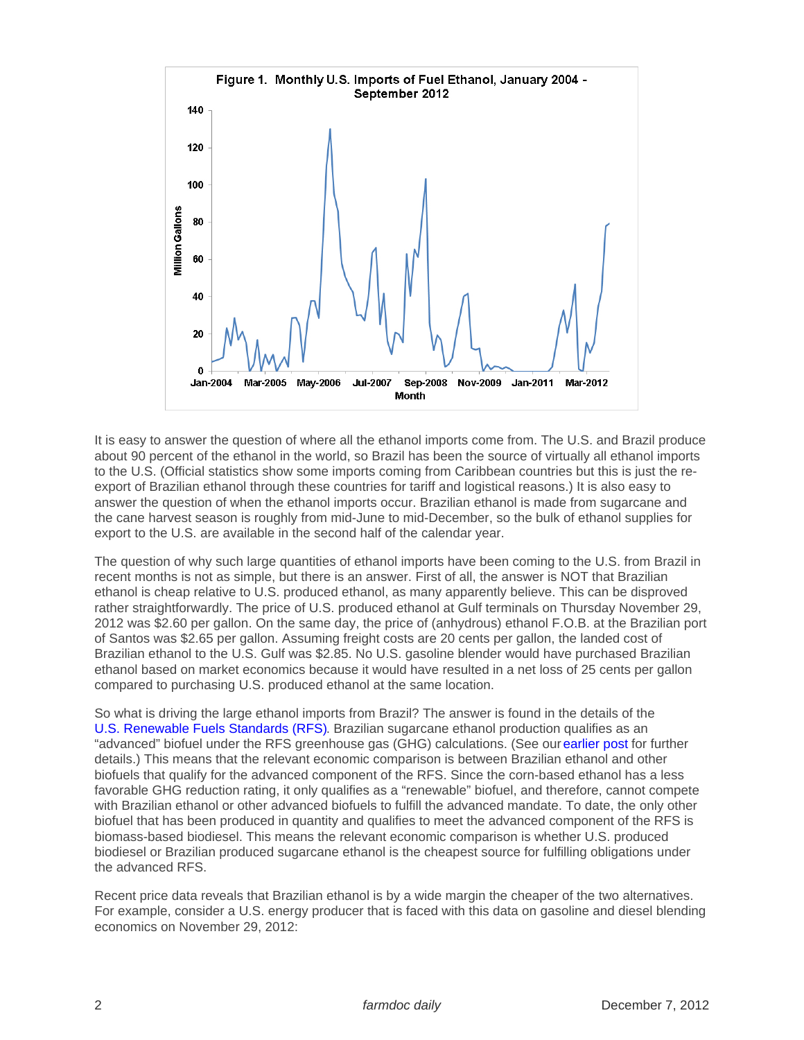It is easy to answer the question of where all the ethanol imports come from. The U.S. and Brazil produce about 90 percent of the ethanol in the world, so Brazil has been the source of virtually all ethanol imports to the U.S. (Official statistics show some imports coming from Caribbean countries but this is just the reexport of Brazilian ethanol through these countries for tariff and logistical reasons.) It is also easy to answer the question of when the ethanol imports occur. Brazilian ethanol is made from sugarcane and the cane harvest season is roughly from mid-June to mid-December, so the bulk of ethanol supplies for export to the U.S. are available in the second half of the calendar year.

The question of why such large quantities of ethanol imports have been coming to the U.S. from Brazil in recent months is not as simple, but there is an answer. First of all, the answer is NOT that Brazilian ethanol is cheap relative to U.S. produced ethanol, as many apparently believe. This can be disproved rather straightforwardly. The price of U.S. produced ethanol at Gulf terminals on Thursday November 29, 2012 was \$2.60 per gallon. On the same day, the price of (anhydrous) ethanol F.O.B. at the Brazilian port of Santos was \$2.65 per gallon. Assuming freight costs are 20 cents per gallon, the landed cost of Brazilian ethanol to the U.S. Gulf was \$2.85. No U.S. gasoline blender would have purchased Brazilian ethanol based on market economics because it would have resulted in a net loss of 25 cents per gallon compared to purchasing U.S. produced ethanol at the same location.

So what is driving the large ethanol imports from Brazil? The answer is found in the details of the [U.S. Renewable Fuels Standards \(RFS\).](http://www.epa.gov/otaq/fuels/renewablefuels/index.htm) Brazilian sugarcane ethanol production qualifies as an "advanced" biofuel under the RFS greenhouse gas (GHG) calculations. (See our [earlier post](http://farmdocdaily.illinois.edu/2012/11/the-biofuels-era---a-changing-.html) for further details.) This means that the relevant economic comparison is between Brazilian ethanol and other biofuels that qualify for the advanced component of the RFS. Since the corn-based ethanol has a less favorable GHG reduction rating, it only qualifies as a "renewable" biofuel, and therefore, cannot compete with Brazilian ethanol or other advanced biofuels to fulfill the advanced mandate. To date, the only other biofuel that has been produced in quantity and qualifies to meet the advanced component of the RFS is biomass-based biodiesel. This means the relevant economic comparison is whether U.S. produced biodiesel or Brazilian produced sugarcane ethanol is the cheapest source for fulfilling obligations under the advanced RFS.

Recent price data reveals that Brazilian ethanol is by a wide margin the cheaper of the two alternatives. For example, consider a U.S. energy producer that is faced with this data on gasoline and diesel blending economics on November 29, 2012: